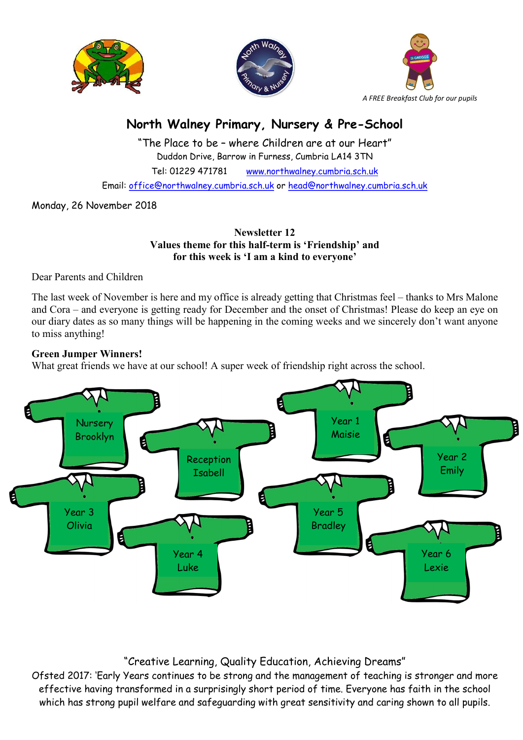





# North Walney Primary, Nursery & Pre-School

"The Place to be – where Children are at our Heart" Duddon Drive, Barrow in Furness, Cumbria LA14 3TN Tel: 01229 471781 www.northwalney.cumbria.sch.uk Email: office@northwalney.cumbria.sch.uk or head@northwalney.cumbria.sch.uk

Monday, 26 November 2018

Newsletter 12 Values theme for this half-term is 'Friendship' and for this week is 'I am a kind to everyone'

Dear Parents and Children

The last week of November is here and my office is already getting that Christmas feel – thanks to Mrs Malone and Cora – and everyone is getting ready for December and the onset of Christmas! Please do keep an eye on our diary dates as so many things will be happening in the coming weeks and we sincerely don't want anyone to miss anything!

# Green Jumper Winners!

What great friends we have at our school! A super week of friendship right across the school.



# "Creative Learning, Quality Education, Achieving Dreams"

Ofsted 2017: 'Early Years continues to be strong and the management of teaching is stronger and more effective having transformed in a surprisingly short period of time. Everyone has faith in the school which has strong pupil welfare and safeguarding with great sensitivity and caring shown to all pupils.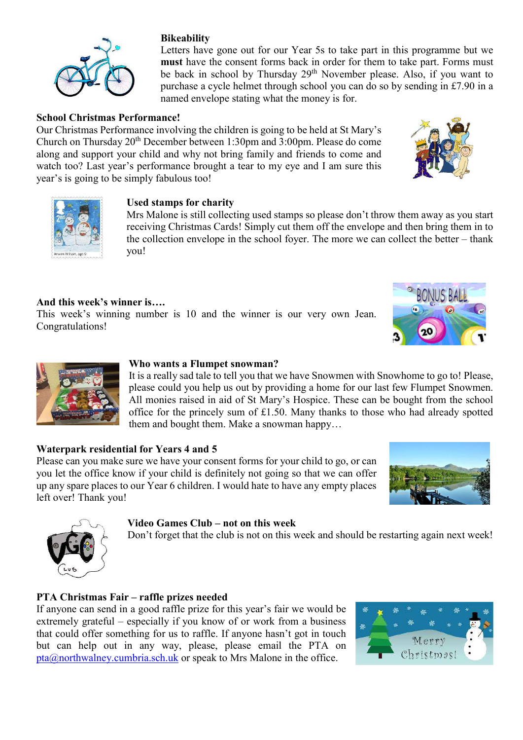

# School Christmas Performance!

Our Christmas Performance involving the children is going to be held at St Mary's Church on Thursday 20th December between 1:30pm and 3:00pm. Please do come along and support your child and why not bring family and friends to come and watch too? Last year's performance brought a tear to my eye and I am sure this year's is going to be simply fabulous too!

## Used stamps for charity

Mrs Malone is still collecting used stamps so please don't throw them away as you start receiving Christmas Cards! Simply cut them off the envelope and then bring them in to the collection envelope in the school foyer. The more we can collect the better – thank you!

Letters have gone out for our Year 5s to take part in this programme but we must have the consent forms back in order for them to take part. Forms must be back in school by Thursday 29<sup>th</sup> November please. Also, if you want to purchase a cycle helmet through school you can do so by sending in £7.90 in a

## And this week's winner is….

This week's winning number is 10 and the winner is our very own Jean. Congratulations!

### Who wants a Flumpet snowman?

It is a really sad tale to tell you that we have Snowmen with Snowhome to go to! Please, please could you help us out by providing a home for our last few Flumpet Snowmen. All monies raised in aid of St Mary's Hospice. These can be bought from the school office for the princely sum of £1.50. Many thanks to those who had already spotted them and bought them. Make a snowman happy…

#### Waterpark residential for Years 4 and 5

Please can you make sure we have your consent forms for your child to go, or can you let the office know if your child is definitely not going so that we can offer up any spare places to our Year 6 children. I would hate to have any empty places left over! Thank you!

#### Video Games Club – not on this week

Don't forget that the club is not on this week and should be restarting again next week!

#### PTA Christmas Fair – raffle prizes needed

If anyone can send in a good raffle prize for this year's fair we would be extremely grateful – especially if you know of or work from a business that could offer something for us to raffle. If anyone hasn't got in touch but can help out in any way, please, please email the PTA on pta@northwalney.cumbria.sch.uk or speak to Mrs Malone in the office.









# **Bikeability**







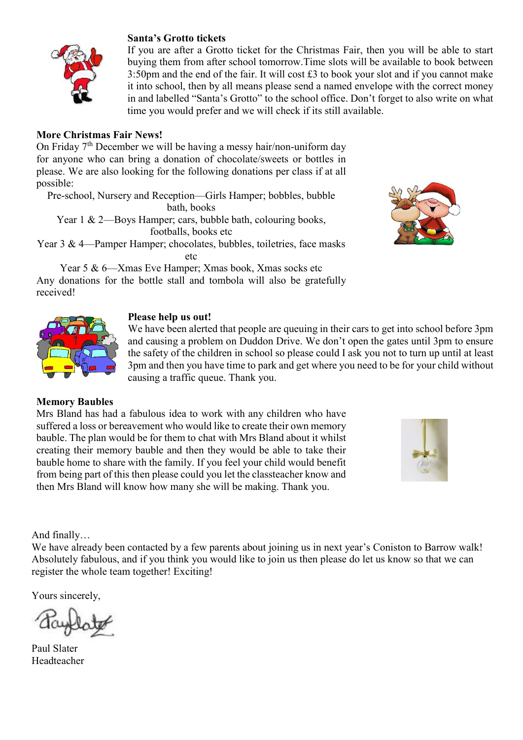

#### Santa's Grotto tickets

If you are after a Grotto ticket for the Christmas Fair, then you will be able to start buying them from after school tomorrow.Time slots will be available to book between 3:50pm and the end of the fair. It will cost £3 to book your slot and if you cannot make it into school, then by all means please send a named envelope with the correct money in and labelled "Santa's Grotto" to the school office. Don't forget to also write on what time you would prefer and we will check if its still available.

#### More Christmas Fair News!

On Friday  $7<sup>th</sup>$  December we will be having a messy hair/non-uniform day for anyone who can bring a donation of chocolate/sweets or bottles in please. We are also looking for the following donations per class if at all possible:

Pre-school, Nursery and Reception—Girls Hamper; bobbles, bubble bath, books

Year 1 & 2—Boys Hamper; cars, bubble bath, colouring books, footballs, books etc

Year 3 & 4—Pamper Hamper; chocolates, bubbles, toiletries, face masks etc

Year 5 & 6—Xmas Eve Hamper; Xmas book, Xmas socks etc Any donations for the bottle stall and tombola will also be gratefully received!





#### Please help us out!

We have been alerted that people are queuing in their cars to get into school before 3pm and causing a problem on Duddon Drive. We don't open the gates until 3pm to ensure the safety of the children in school so please could I ask you not to turn up until at least 3pm and then you have time to park and get where you need to be for your child without causing a traffic queue. Thank you.

#### Memory Baubles

Mrs Bland has had a fabulous idea to work with any children who have suffered a loss or bereavement who would like to create their own memory bauble. The plan would be for them to chat with Mrs Bland about it whilst creating their memory bauble and then they would be able to take their bauble home to share with the family. If you feel your child would benefit from being part of this then please could you let the classteacher know and then Mrs Bland will know how many she will be making. Thank you.



And finally…

We have already been contacted by a few parents about joining us in next year's Coniston to Barrow walk! Absolutely fabulous, and if you think you would like to join us then please do let us know so that we can register the whole team together! Exciting!

Yours sincerely,

Paul Slater Headteacher